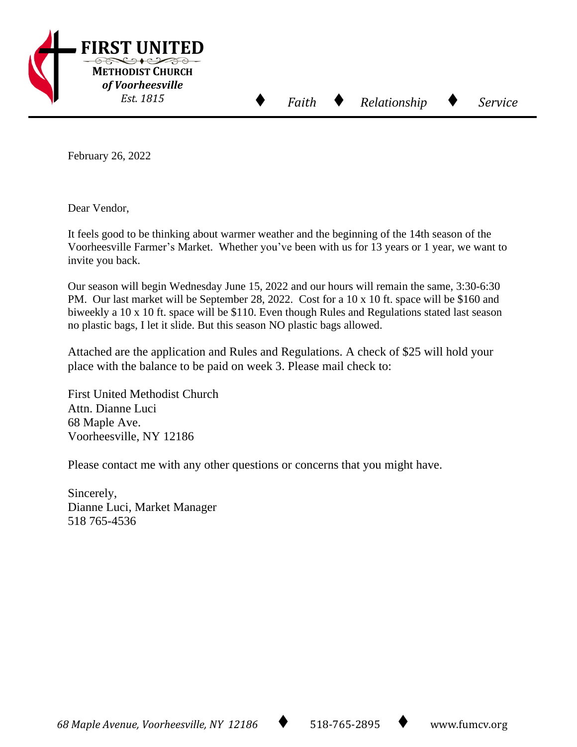

February 26, 2022

Dear Vendor,

It feels good to be thinking about warmer weather and the beginning of the 14th season of the Voorheesville Farmer's Market. Whether you've been with us for 13 years or 1 year, we want to invite you back.

⬧

Our season will begin Wednesday June 15, 2022 and our hours will remain the same, 3:30-6:30 PM. Our last market will be September 28, 2022. Cost for a 10 x 10 ft. space will be \$160 and biweekly a 10 x 10 ft. space will be \$110. Even though Rules and Regulations stated last season no plastic bags, I let it slide. But this season NO plastic bags allowed.

Attached are the application and Rules and Regulations. A check of \$25 will hold your place with the balance to be paid on week 3. Please mail check to:

First United Methodist Church Attn. Dianne Luci 68 Maple Ave. Voorheesville, NY 12186

Please contact me with any other questions or concerns that you might have.

Sincerely, Dianne Luci, Market Manager 518 765-4536

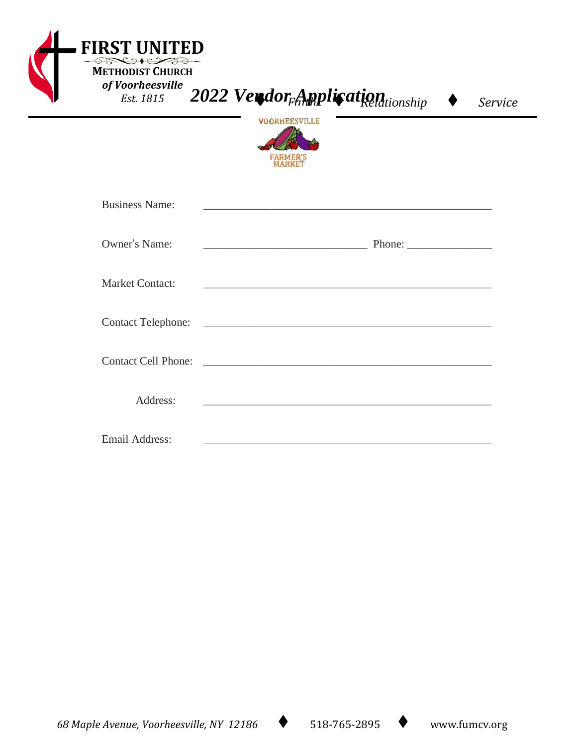| <b>FIRST UNITED</b><br><b>METHODIST CHURCH</b><br>of Voorheesville<br>Est. 1815 | 2022 Verdor <sub>Fort</sub> pplication ship<br>Service<br><b>VOORHEESVILLE</b>                                                                                                                                                       |  |
|---------------------------------------------------------------------------------|--------------------------------------------------------------------------------------------------------------------------------------------------------------------------------------------------------------------------------------|--|
| <b>Business Name:</b>                                                           |                                                                                                                                                                                                                                      |  |
| Owner's Name:                                                                   |                                                                                                                                                                                                                                      |  |
| <b>Market Contact:</b>                                                          | and the control of the control of the control of the control of the control of the control of the control of the                                                                                                                     |  |
| <b>Contact Telephone:</b>                                                       | <u> 1989 - Johann Harry Harry Harry Harry Harry Harry Harry Harry Harry Harry Harry Harry Harry Harry Harry Harry Harry Harry Harry Harry Harry Harry Harry Harry Harry Harry Harry Harry Harry Harry Harry Harry Harry Harry Ha</u> |  |
| <b>Contact Cell Phone:</b>                                                      |                                                                                                                                                                                                                                      |  |
| Address:                                                                        |                                                                                                                                                                                                                                      |  |
| <b>Email Address:</b>                                                           | <u> 2000 - Jan Barnett, mars et al. 1980 - et al. 1980 - et al. 1980 - et al. 1980 - et al. 1980 - et al. 1980 - </u>                                                                                                                |  |